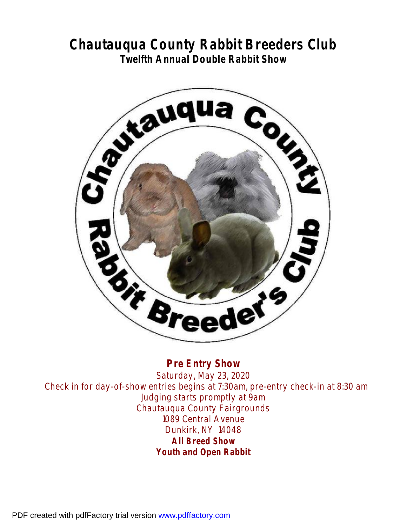# **Chautauqua County Rabbit Breeders Club Twelfth Annual Double Rabbit Show**



**Pre Entry Show**  Saturday, May 23, 2020 Check in for day-of-show entries begins at 7:30am, pre-entry check-in at 8:30 am Judging starts promptly at 9am Chautauqua County Fairgrounds 1089 Central Avenue Dunkirk, NY 14048 **All Breed Show Youth and Open Rabbit** 

PDF created with pdfFactory trial version [www.pdffactory.com](http://www.pdffactory.com)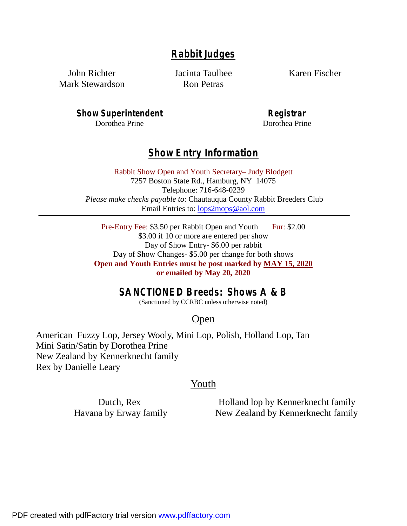## **Rabbit Judges**

John Richter Mark Stewardson Jacinta Taulbee Ron Petras

Karen Fischer

**Show Superintendent** Dorothea Prine

**Registrar**  Dorothea Prine

## **Show Entry Information**

Rabbit Show Open and Youth Secretary– Judy Blodgett 7257 Boston State Rd., Hamburg, NY 14075 Telephone: 716-648-0239  *Please make checks payable to*: Chautauqua County Rabbit Breeders Club Email Entries to: [lops2mops@aol.com](mailto:lops2mops@aol.com)

Pre-Entry Fee: \$3.50 per Rabbit Open and Youth Fur: \$2.00 \$3.00 if 10 or more are entered per show Day of Show Entry- \$6.00 per rabbit Day of Show Changes- \$5.00 per change for both shows **Open and Youth Entries must be post marked by MAY 15, 2020 or emailed by May 20, 2020** 

## **SANCTIONED Breeds: Shows A & B**

(Sanctioned by CCRBC unless otherwise noted)

## Open

American Fuzzy Lop, Jersey Wooly, Mini Lop, Polish, Holland Lop, Tan Mini Satin/Satin by Dorothea Prine New Zealand by Kennerknecht family Rex by Danielle Leary

### Youth

Dutch, Rex Havana by Erway family

Holland lop by Kennerknecht family New Zealand by Kennerknecht family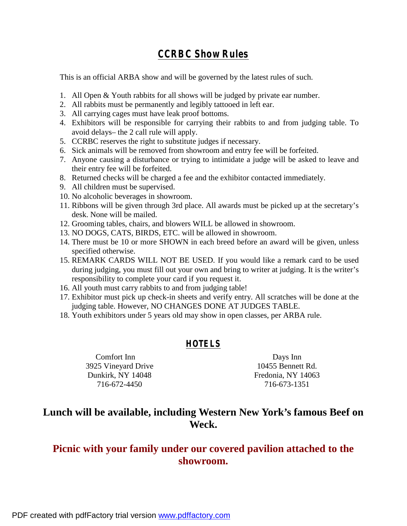## **CCRBC Show Rules**

This is an official ARBA show and will be governed by the latest rules of such.

- 1. All Open & Youth rabbits for all shows will be judged by private ear number.
- 2. All rabbits must be permanently and legibly tattooed in left ear.
- 3. All carrying cages must have leak proof bottoms.
- 4. Exhibitors will be responsible for carrying their rabbits to and from judging table. To avoid delays– the 2 call rule will apply.
- 5. CCRBC reserves the right to substitute judges if necessary.
- 6. Sick animals will be removed from showroom and entry fee will be forfeited.
- 7. Anyone causing a disturbance or trying to intimidate a judge will be asked to leave and their entry fee will be forfeited.
- 8. Returned checks will be charged a fee and the exhibitor contacted immediately.
- 9. All children must be supervised.
- 10. No alcoholic beverages in showroom.
- 11. Ribbons will be given through 3rd place. All awards must be picked up at the secretary's desk. None will be mailed.
- 12. Grooming tables, chairs, and blowers WILL be allowed in showroom.
- 13. NO DOGS, CATS, BIRDS, ETC. will be allowed in showroom.
- 14. There must be 10 or more SHOWN in each breed before an award will be given, unless specified otherwise.
- 15. REMARK CARDS WILL NOT BE USED. If you would like a remark card to be used during judging, you must fill out your own and bring to writer at judging. It is the writer's responsibility to complete your card if you request it.
- 16. All youth must carry rabbits to and from judging table!
- 17. Exhibitor must pick up check-in sheets and verify entry. All scratches will be done at the judging table. However, NO CHANGES DONE AT JUDGES TABLE.
- 18. Youth exhibitors under 5 years old may show in open classes, per ARBA rule.

### **HOTELS**

Comfort Inn 3925 Vineyard Drive Dunkirk, NY 14048 716-672-4450

Days Inn 10455 Bennett Rd. Fredonia, NY 14063 716-673-1351

## **Lunch will be available, including Western New York's famous Beef on Weck.**

## **Picnic with your family under our covered pavilion attached to the showroom.**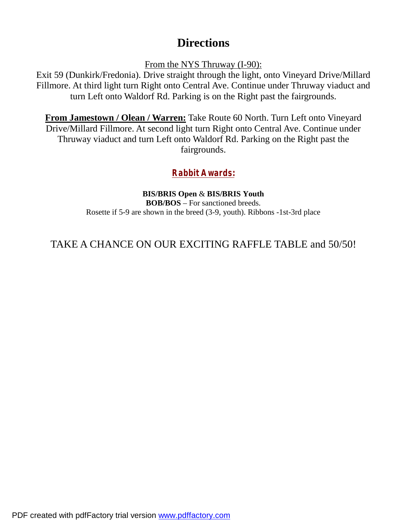# **Directions**

From the NYS Thruway (I-90):

Exit 59 (Dunkirk/Fredonia). Drive straight through the light, onto Vineyard Drive/Millard Fillmore. At third light turn Right onto Central Ave. Continue under Thruway viaduct and turn Left onto Waldorf Rd. Parking is on the Right past the fairgrounds.

**From Jamestown / Olean / Warren:** Take Route 60 North. Turn Left onto Vineyard Drive/Millard Fillmore. At second light turn Right onto Central Ave. Continue under Thruway viaduct and turn Left onto Waldorf Rd. Parking on the Right past the fairgrounds.

# **Rabbit Awards:**

**BIS/BRIS Open** & **BIS/BRIS Youth BOB/BOS** – For sanctioned breeds. Rosette if 5-9 are shown in the breed (3-9, youth). Ribbons -1st-3rd place

# TAKE A CHANCE ON OUR EXCITING RAFFLE TABLE and 50/50!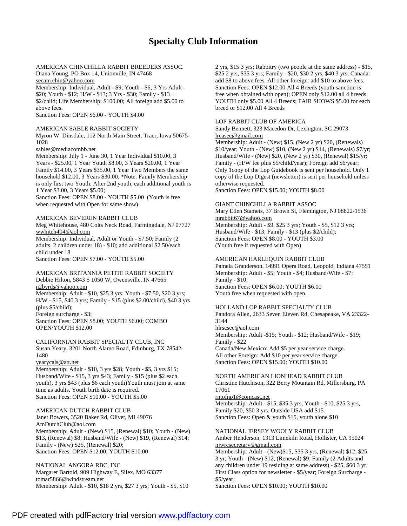### **Specialty Club Information**

AMERICAN CHINCHILLA RABBIT BREEDERS ASSOC. Diana Young, PO Box 14, Unionville, IN 47468 [secam.chin@yahoo.com](mailto:secam.chin@yahoo.com)

Membership: Individual, Adult - \$9; Youth - \$6; 3 Yrs Adult - \$20; Youth - \$12; H/W - \$13; 3 Yrs - \$30; Family - \$13 + \$2/child; Life Membership: \$100.00; All foreign add \$5.00 to above fees.

Sanction Fees: OPEN \$6.00 - YOUTH \$4.00

#### AMERICAN SABLE RABBIT SOCIETY

Myron W. Dinsdale, 112 North Main Street, Traer, Iowa 50675- 1028

#### [sables@mediacombb.net](mailto:sables@mediacombb.net)

Membership: July 1 - June 30, 1 Year Individual \$10.00, 3 Years - \$25.00, 1 Year Youth \$8.00, 3 Years \$20.00, 1 Year Family \$14.00, 3 Years \$35.00, 1 Year Two Members the same household \$12.00, 3 Years \$30.00. \*Note: Family Membership is only first two Youth. After 2nd youth, each additional youth is 1 Year \$3.00, 3 Years \$5.00;

Sanction Fees: OPEN \$8.00 - YOUTH \$5.00 (Youth is free when requested with Open for same show)

#### AMERICAN BEVEREN RABBIT CLUB

Meg Whitehouse, 480 Colts Neck Road, Farmingdale, NJ 07727 [wwhiteh404@aol.com](mailto:wwhiteh404@aol.com)

Membership: Individual, Adult or Youth - \$7.50; Family (2 adults, 2 children under 18) - \$10; add additional \$2.50/each child under 18

Sanction Fees: OPEN \$7.00 - YOUTH \$5.00

#### AMERICAN BRITANNIA PETITE RABBIT SOCIETY Debbie Hilton, 5843 S 1050 W, Owensville, IN 47665

[n2byrds@yahoo.com](mailto:n2byrds@yahoo.com)

Membership: Adult - \$10, \$25 3 yrs; Youth - \$7.50, \$20 3 yrs; H/W - \$15, \$40 3 yrs; Family - \$15 (plus \$2.00/child), \$40 3 yrs (plus \$5/child); Foreign surcharge - \$3;

Sanction Fees: OPEN \$8.00; YOUTH \$6.00; COMBO OPEN/YOUTH \$12.00

CALIFORNIAN RABBIT SPECIALTY CLUB, INC Susan Yeary, 3201 North Alamo Road, Edinburg, TX 78542- 1480

#### [yearycals@att.net](mailto:yearycals@att.net)

Membership: Adult - \$10, 3 yrs \$28; Youth - \$5, 3 yrs \$15; Husband/Wife - \$15, 3 yrs \$43; Family - \$15 (plus \$2 each youth), 3 yrs \$43 (plus \$6 each youth)Youth must join at same time as adults. Youth birth date is required. Sanction Fees: OPEN \$10.00 - YOUTH \$5.00

#### AMERICAN DUTCH RABBIT CLUB

Janet Bowers, 3520 Baker Rd, Olivet, MI 49076 [AmDutchClub@aol.com](mailto:AmDutchClub@aol.com) Membership: Adult - (New) \$15, (Renewal) \$10; Youth - (New) \$13, (Renewal) \$8; Husband/Wife - (New) \$19, (Renewal) \$14; Family - (New) \$25, (Renewal) \$20; Sanction Fees: OPEN \$12.00; YOUTH \$10.00

NATIONAL ANGORA RBC, INC Margaret Bartold, 909 Highway E, Silex, MO 63377 [tomar5866@windstream.net](mailto:tomar5866@windstream.net) Membership: Adult - \$10, \$18 2 yrs, \$27 3 yrs; Youth - \$5, \$10

2 yrs, \$15 3 yrs; Rabbitry (two people at the same address) - \$15, \$25 2 yrs, \$35 3 yrs; Family - \$20, \$30 2 yrs, \$40 3 yrs; Canada: add \$8 to above fees. All other foreign: add \$10 to above fees. Sanction Fees: OPEN \$12.00 All 4 Breeds (youth sanction is free when obtained with open); OPEN only \$12.00 all 4 breeds; YOUTH only \$5.00 All 4 Breeds; FAIR SHOWS \$5.00 for each breed or \$12.00 All 4 Breeds

#### LOP RABBIT CLUB OF AMERICA

Sandy Bennett, 323 Macedon Dr, Lexington, SC 29073 [lrcasec@gmail.com](mailto:lrcasec@gmail.com)

Membership: Adult - (New) \$15, (New 2 yr) \$20, (Renewals) \$10/year; Youth - (New) \$10, (New 2 yr) \$14, (Renewals) \$7/yr; Husband/Wife - (New) \$20, (New 2 yr) \$30, (Renewal) \$15/yr; Family - (H/W fee plus \$5/child/year); Foreign add \$6/year; Only 1copy of the Lop Guidebook is sent per household. Only 1 copy of the Lop Digest (newsletter) is sent per household unless otherwise requested.

Sanction Fees: OPEN \$15.00; YOUTH \$8.00

#### GIANT CHINCHILLA RABBIT ASSOC

Mary Ellen Stamets, 37 Brown St, Flemington, NJ 08822-1536 [mrabbit67@yahoo.com](mailto:mrabbit67@yahoo.com) Membership: Adult - \$9, \$25 3 yrs; Youth - \$5, \$12 3 yrs;

Husband/Wife - \$13; Family - \$13 (plus \$2/child); Sanction Fees: OPEN \$8.00 - YOUTH \$3.00 (Youth free if requested with Open)

#### AMERICAN HARLEQUIN RABBIT CLUB

Pamela Granderson, 14991 Opera Road, Leopold, Indiana 47551 Membership: Adult - \$5; Youth - \$4; Husband/Wife - \$7; Family - \$10; Sanction Fees: OPEN \$6.00; YOUTH \$6.00 Youth free when requested with open.

#### HOLLAND LOP RABBIT SPECIALTY CLUB

Pandora Allen, 2633 Seven Eleven Rd, Chesapeake, VA 23322- 3144

[hlrscsec@aol.com](mailto:hlrscsec@aol.com)

Membership: Adult -\$15; Youth - \$12; Husband/Wife - \$19; Family - \$22 Canada/New Mexico: Add \$5 per year service charge.

All other Foreign: Add \$10 per year service charge. Sanction Fees: OPEN \$15.00; YOUTH \$10.00

#### NORTH AMERICAN LIONHEAD RABBIT CLUB

Christine Hutchison, 322 Berry Mountain Rd, Millersburg, PA 17061

#### [rntofnp1@comcast.net](mailto:rntofnp1@comcast.net)

Membership: Adult - \$15, \$35 3 yrs, Youth - \$10, \$25 3 yrs, Family \$20, \$50 3 yrs. Outside USA add \$15. Sanction Fees: Open & youth \$15, youth alone \$10

#### NATIONAL JERSEY WOOLY RABBIT CLUB

Amber Henderson, 1313 Limekiln Road, Hollister, CA 95024 [njwrcsecretary@gmail.com](mailto:njwrcsecretary@gmail.com)

Membership: Adult - (New)\$15, \$35 3 yrs, (Renewal) \$12, \$25 3 yr; Youth - (New) \$12, (Renewal) \$9; Family (2 Adults and any children under 19 residing at same address) - \$25, \$60 3 yr; First Class option for newsletter - \$5/year; Foreign Surcharge - \$5/year;

Sanction Fees: OPEN \$10.00; YOUTH \$10.00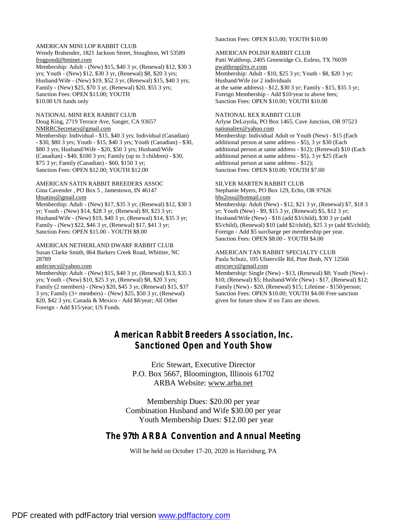#### AMERICAN MINI LOP RABBIT CLUB Wendy Brabender, 1821 Jackson Street, Stoughton, WI 53589 [frogpond@bminet.com](mailto:frogpond@bminet.com)

Membership: Adult - (New) \$15, \$40 3 yr, (Renewal) \$12, \$30 3 yrs; Youth - (New) \$12, \$30 3 yr, (Renewal) \$8, \$20 3 yrs; Husband/Wife - (New) \$19, \$52 3 yr, (Renewal) \$15, \$40 3 yrs; Family - (New) \$25, \$70 3 yr, (Renewal) \$20, \$55 3 yrs; Sanction Fees: OPEN \$13.00; YOUTH \$10.00 US funds only

#### NATIONAL MINI REX RABBIT CLUB

Doug King, 2719 Terrace Ave, Sanger, CA 93657 [NMRRCSecretary@gmail.com](mailto:NMRRCSecretary@gmail.com) Membership: Individual - \$15, \$40 3 yrs; Individual (Canadian) - \$30, \$80 3 yrs; Youth - \$15, \$40 3 yrs; Youth (Canadian) - \$30, \$80 3 yrs; Husband/Wife - \$20, \$50 3 yrs; Husband/Wife (Canadian) - \$40, \$100 3 yrs; Family (up to 3 children) - \$30, \$75 3 yr; Family (Canadian) - \$60, \$150 3 yr; Sanction Fees: OPEN \$12.00; YOUTH \$12.00

#### AMERICAN SATIN RABBIT BREEDERS ASSOC Gina Cavender , PO Box 5 , Jamestown, IN 46147 [bhsatins@gmail.com](mailto:bhsatins@gmail.com)

Membership: Adult - (New) \$17, \$35 3 yr, (Renewal) \$12, \$30 3 yr; Youth - (New) \$14, \$28 3 yr, (Renewal) \$9, \$23 3 yr; Husband/Wife - (New) \$19, \$40 3 yr, (Renewal) \$14, \$35 3 yr; Family - (New) \$22, \$46 3 yr, (Renewal) \$17, \$41 3 yr; Sanction Fees: OPEN \$15.00 - YOUTH \$8.00

#### AMERICAN NETHERLAND DWARF RABBIT CLUB Susan Clarke Smith, 864 Barkers Creek Road, Whittier, NC

#### 28789 [andrcsecy@yahoo.com](mailto:andrcsecy@yahoo.com)

Membership: Adult - (New) \$15, \$40 3 yr, (Renewal) \$13, \$35 3 yrs; Youth - (New) \$10, \$25 3 yr, (Renewal) \$8, \$20 3 yrs; Family (2 members) - (New) \$20, \$45 3 yr, (Renewal) \$15, \$37 3 yrs; Family (3+ members) - (New) \$25, \$50 3 yr, (Renewal) \$20, \$42 3 yrs; Canada & Mexico - Add \$8/year; All Other Foreign - Add \$15/year; US Funds.

#### Sanction Fees: OPEN \$15.00; YOUTH \$10.00

#### AMERICAN POLISH RABBIT CLUB

Patti Walthrop, 2405 Greenridge Ct, Euless, TX 76039 [pwalthrop@tx.rr.com](mailto:pwalthrop@tx.rr.com) Membership: Adult - \$10, \$25 3 yr; Youth - \$8, \$20 3 yr; Husband/Wife (or 2 individuals at the same address) - \$12, \$30 3 yr; Family - \$15, \$35 3 yr; Foreign Membership - Add \$10/year to above fees; Sanction Fees: OPEN \$10.00; YOUTH \$10.00

#### NATIONAL REX RABBIT CLUB

Arlyse DeLoyola, PO Box 1465, Cave Junction, OR 97523 [nationalrex@yahoo.com](mailto:nationalrex@yahoo.com) Membership: Individual Adult or Youth (New) - \$15 (Each additional person at same address - \$5), 3 yr \$30 (Each additional person at same address - \$12); (Renewal) \$10 (Each additional person at same address - \$5), 3 yr \$25 (Each additional person at same address - \$12); Sanction Fees: OPEN \$10.00; YOUTH \$7.00

#### SILVER MARTEN RABBIT CLUB

Stephanie Myers, PO Box 129, Echo, OR 97926 [hhs2osu@hotmail.com](mailto:hhs2osu@hotmail.com)

Membership: Adult (New) - \$12, \$21 3 yr, (Renewal) \$7, \$18 3 yr; Youth (New) - \$9, \$15 3 yr, (Renewal) \$5, \$12 3 yr; Husband/Wife (New) - \$16 (add \$3/child), \$30 3 yr (add \$5/child), (Renewal) \$10 (add \$2/child), \$25 3 yr (add \$5/child); Foreign - Add \$5 surcharge per membership per year. Sanction Fees: OPEN \$8.00 - YOUTH \$4.00

#### AMERICAN TAN RABBIT SPECIALTY CLUB

Paula Schutz, 105 Ulsterville Rd, Pine Bush, NY 12566 [atrscsecy@gmail.com](mailto:atrscsecy@gmail.com)

Membership: Single (New) - \$13, (Renewal) \$8; Youth (New) - \$10, (Renewal) \$5; Husband/Wife (New) - \$17, (Renewal) \$12; Family (New) - \$20, (Renewal) \$15; Lifetime - \$150/person; Sanction Fees: OPEN \$10.00; YOUTH \$4.00 Free sanction given for future show if no Tans are shown.

## **American Rabbit Breeders Association, Inc. Sanctioned Open and Youth Show**

Eric Stewart, Executive Director P.O. Box 5667, Bloomington, Illinois 61702 ARBA Website: [www.arba.net](http://www.arba.net)

Membership Dues: \$20.00 per year Combination Husband and Wife \$30.00 per year Youth Membership Dues: \$12.00 per year

### **The 97th ARBA Convention and Annual Meeting**

Will be held on October 17-20, 2020 in Harrisburg, PA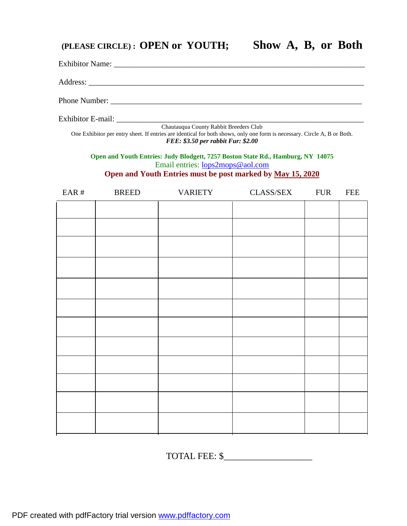# **(PLEASE CIRCLE) : OPEN or YOUTH; Show A, B, or Both**

| Phone Number:                                                                                                                                                                     |              |                |                  |            |            |
|-----------------------------------------------------------------------------------------------------------------------------------------------------------------------------------|--------------|----------------|------------------|------------|------------|
|                                                                                                                                                                                   |              |                |                  |            |            |
| One Exhibitor per entry sheet. If entries are identical for both shows, only one form is necessary. Circle A, B or Both.<br>FEE: \$3.50 per rabbit Fur: \$2.00                    |              |                |                  |            |            |
| Open and Youth Entries: Judy Blodgett, 7257 Boston State Rd., Hamburg, NY 14075<br>Email entries: lops2mops@aol.com<br>Open and Youth Entries must be post marked by May 15, 2020 |              |                |                  |            |            |
| EAR#                                                                                                                                                                              | <b>BREED</b> | <b>VARIETY</b> | <b>CLASS/SEX</b> | <b>FUR</b> | <b>FEE</b> |
|                                                                                                                                                                                   |              |                |                  |            |            |
|                                                                                                                                                                                   |              |                |                  |            |            |
|                                                                                                                                                                                   |              |                |                  |            |            |
|                                                                                                                                                                                   |              |                |                  |            |            |
|                                                                                                                                                                                   |              |                |                  |            |            |
|                                                                                                                                                                                   |              |                |                  |            |            |
|                                                                                                                                                                                   |              |                |                  |            |            |
|                                                                                                                                                                                   |              |                |                  |            |            |
|                                                                                                                                                                                   |              |                |                  |            |            |
|                                                                                                                                                                                   |              |                |                  |            |            |
|                                                                                                                                                                                   |              |                |                  |            |            |
|                                                                                                                                                                                   |              |                |                  |            |            |
|                                                                                                                                                                                   |              |                |                  |            |            |

TOTAL FEE: \$\_\_\_\_\_\_\_\_\_\_\_\_\_\_\_\_\_\_\_